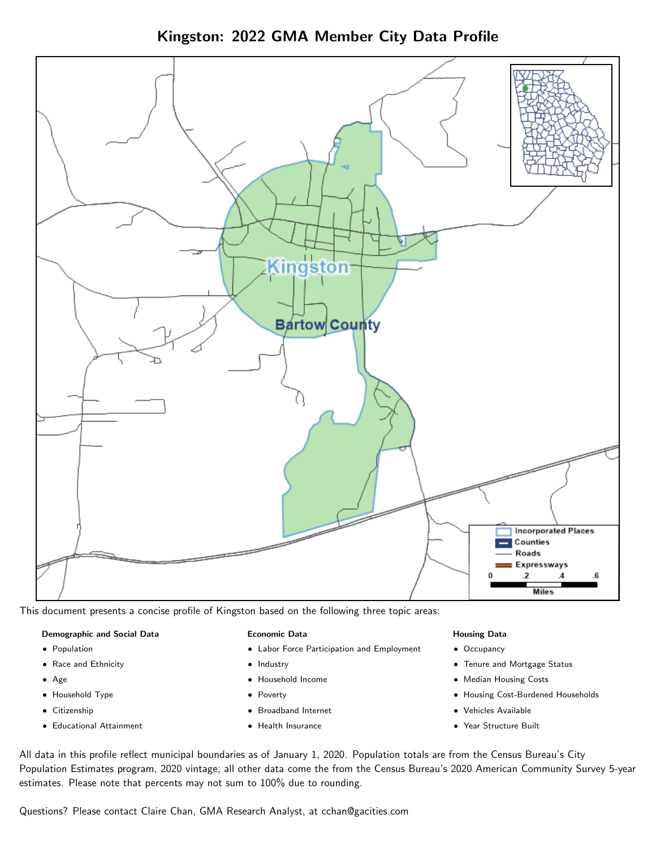Kingston: 2022 GMA Member City Data Profile



This document presents a concise profile of Kingston based on the following three topic areas:

#### Demographic and Social Data

- **•** Population
- Race and Ethnicity
- Age
- Household Type
- **Citizenship**
- Educational Attainment

#### Economic Data

- Labor Force Participation and Employment
- Industry
- Household Income
- Poverty
- Broadband Internet
- Health Insurance

#### Housing Data

- Occupancy
- Tenure and Mortgage Status
- Median Housing Costs
- Housing Cost-Burdened Households
- Vehicles Available
- $\bullet$ Year Structure Built

All data in this profile reflect municipal boundaries as of January 1, 2020. Population totals are from the Census Bureau's City Population Estimates program, 2020 vintage; all other data come the from the Census Bureau's 2020 American Community Survey 5-year estimates. Please note that percents may not sum to 100% due to rounding.

Questions? Please contact Claire Chan, GMA Research Analyst, at [cchan@gacities.com.](mailto:cchan@gacities.com)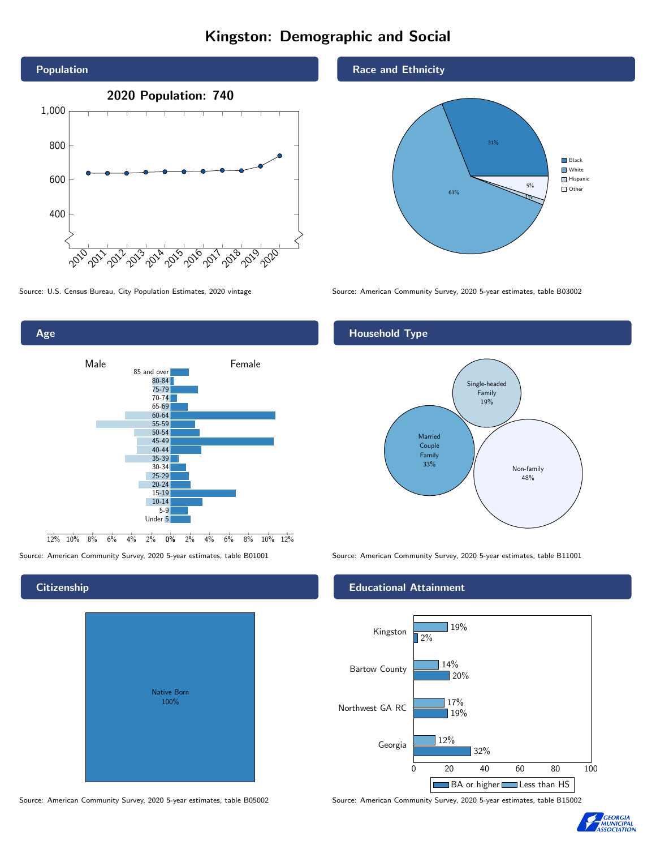## Kingston: Demographic and Social





Age  $2\%$  0% 2% 4% 6% 8% 10% 12% Male **Female**  $12\%$   $10\%$   $8\%$   $6\%$   $4\%$ 85 and over 80-84 75-79 70-74 65-69 60-64 55-59 50-54 45-49 40-44 35-39 30-34 25-29 20-24 15-19 10-14 5-9 Under 5

## **Citizenship**

| <b>Native Born</b><br>100% |  |
|----------------------------|--|

Race and Ethnicity



## Household Type



Source: American Community Survey, 2020 5-year estimates, table B01001 Source: American Community Survey, 2020 5-year estimates, table B11001

#### Educational Attainment



Source: American Community Survey, 2020 5-year estimates, table B05002 Source: American Community Survey, 2020 5-year estimates, table B15002

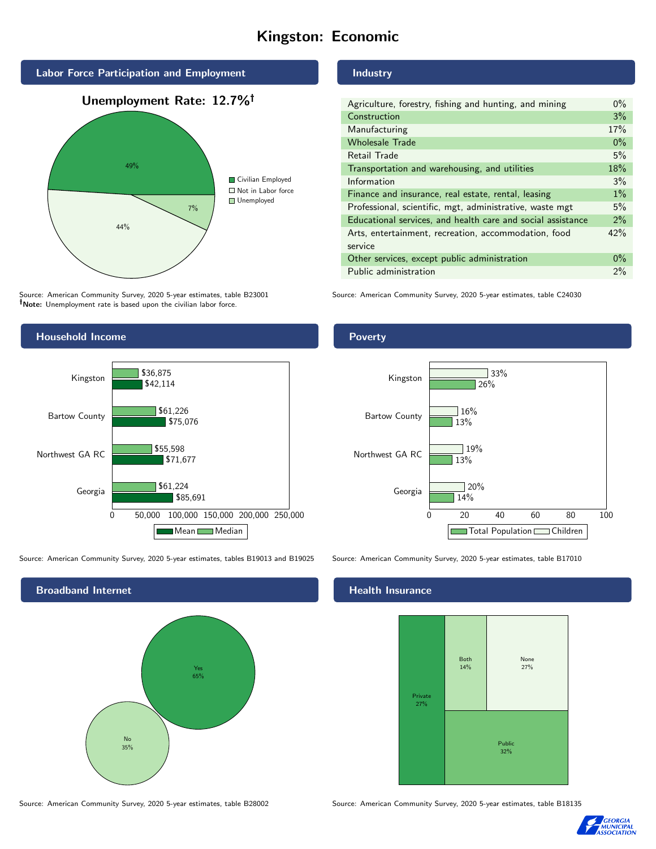## Kingston: Economic



Source: American Community Survey, 2020 5-year estimates, table B23001 Note: Unemployment rate is based upon the civilian labor force.

#### Industry

| Agriculture, forestry, fishing and hunting, and mining      | $0\%$ |
|-------------------------------------------------------------|-------|
| Construction                                                |       |
| Manufacturing                                               | 17%   |
| <b>Wholesale Trade</b>                                      | $0\%$ |
| Retail Trade                                                | 5%    |
| Transportation and warehousing, and utilities               |       |
| Information                                                 |       |
| Finance and insurance, real estate, rental, leasing         |       |
| Professional, scientific, mgt, administrative, waste mgt    |       |
| Educational services, and health care and social assistance |       |
| Arts, entertainment, recreation, accommodation, food        |       |
| service                                                     |       |
| Other services, except public administration                |       |
| Public administration                                       |       |

Source: American Community Survey, 2020 5-year estimates, table C24030



Source: American Community Survey, 2020 5-year estimates, tables B19013 and B19025 Source: American Community Survey, 2020 5-year estimates, table B17010

Broadband Internet No 35% Yes 65%

#### Health Insurance



Source: American Community Survey, 2020 5-year estimates, table B28002 Source: American Community Survey, 2020 5-year estimates, table B18135



## Poverty